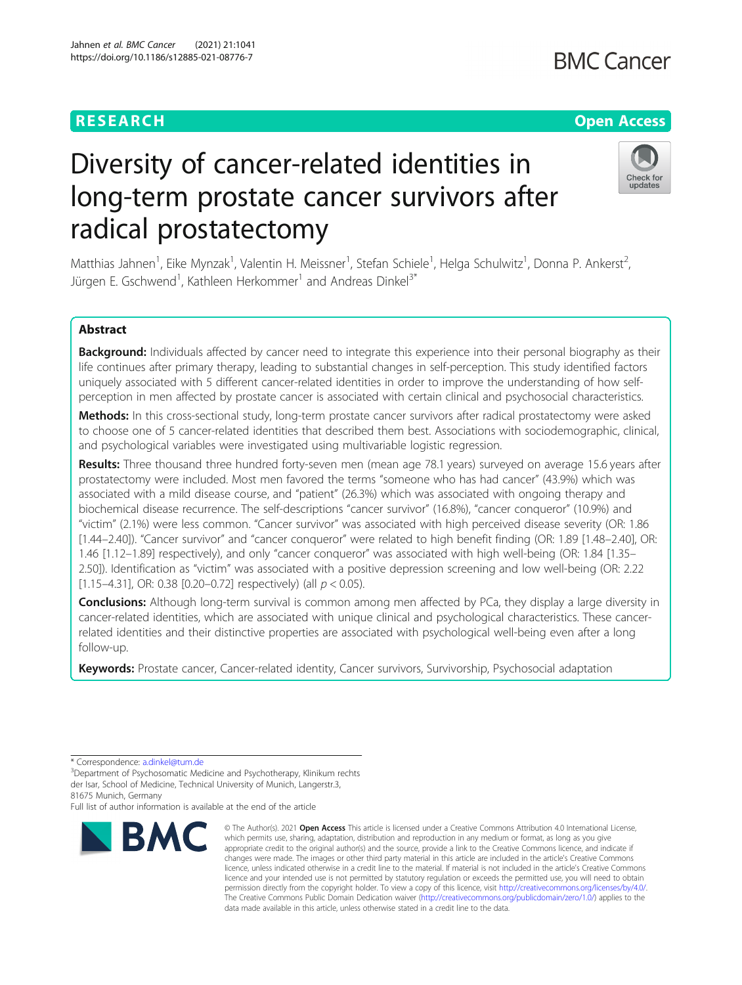# **RESEARCH CHE Open Access**

# **BMC Cancer**

# Diversity of cancer-related identities in long-term prostate cancer survivors after radical prostatectomy



Matthias Jahnen<sup>1</sup>, Eike Mynzak<sup>1</sup>, Valentin H. Meissner<sup>1</sup>, Stefan Schiele<sup>1</sup>, Helga Schulwitz<sup>1</sup>, Donna P. Ankerst<sup>2</sup> , Jürgen E. Gschwend<sup>1</sup>, Kathleen Herkommer<sup>1</sup> and Andreas Dinkel<sup>3\*</sup>

# Abstract

Background: Individuals affected by cancer need to integrate this experience into their personal biography as their life continues after primary therapy, leading to substantial changes in self-perception. This study identified factors uniquely associated with 5 different cancer-related identities in order to improve the understanding of how selfperception in men affected by prostate cancer is associated with certain clinical and psychosocial characteristics.

Methods: In this cross-sectional study, long-term prostate cancer survivors after radical prostatectomy were asked to choose one of 5 cancer-related identities that described them best. Associations with sociodemographic, clinical, and psychological variables were investigated using multivariable logistic regression.

Results: Three thousand three hundred forty-seven men (mean age 78.1 years) surveyed on average 15.6 years after prostatectomy were included. Most men favored the terms "someone who has had cancer" (43.9%) which was associated with a mild disease course, and "patient" (26.3%) which was associated with ongoing therapy and biochemical disease recurrence. The self-descriptions "cancer survivor" (16.8%), "cancer conqueror" (10.9%) and "victim" (2.1%) were less common. "Cancer survivor" was associated with high perceived disease severity (OR: 1.86 [1.44–2.40]). "Cancer survivor" and "cancer conqueror" were related to high benefit finding (OR: 1.89 [1.48–2.40], OR: 1.46 [1.12–1.89] respectively), and only "cancer conqueror" was associated with high well-being (OR: 1.84 [1.35– 2.50]). Identification as "victim" was associated with a positive depression screening and low well-being (OR: 2.22 [1.15–4.31], OR: 0.38 [0.20–0.72] respectively) (all  $p < 0.05$ ).

**Conclusions:** Although long-term survival is common among men affected by PCa, they display a large diversity in cancer-related identities, which are associated with unique clinical and psychological characteristics. These cancerrelated identities and their distinctive properties are associated with psychological well-being even after a long follow-up.

Keywords: Prostate cancer, Cancer-related identity, Cancer survivors, Survivorship, Psychosocial adaptation

Full list of author information is available at the end of the article



<sup>©</sup> The Author(s), 2021 **Open Access** This article is licensed under a Creative Commons Attribution 4.0 International License, which permits use, sharing, adaptation, distribution and reproduction in any medium or format, as long as you give appropriate credit to the original author(s) and the source, provide a link to the Creative Commons licence, and indicate if changes were made. The images or other third party material in this article are included in the article's Creative Commons licence, unless indicated otherwise in a credit line to the material. If material is not included in the article's Creative Commons licence and your intended use is not permitted by statutory regulation or exceeds the permitted use, you will need to obtain permission directly from the copyright holder. To view a copy of this licence, visit [http://creativecommons.org/licenses/by/4.0/.](http://creativecommons.org/licenses/by/4.0/) The Creative Commons Public Domain Dedication waiver [\(http://creativecommons.org/publicdomain/zero/1.0/](http://creativecommons.org/publicdomain/zero/1.0/)) applies to the data made available in this article, unless otherwise stated in a credit line to the data.

<sup>\*</sup> Correspondence: [a.dinkel@tum.de](mailto:a.dinkel@tum.de)<br><sup>3</sup>Department of Psychosomatic Medicine and Psychotherapy, Klinikum rechts der Isar, School of Medicine, Technical University of Munich, Langerstr.3, 81675 Munich, Germany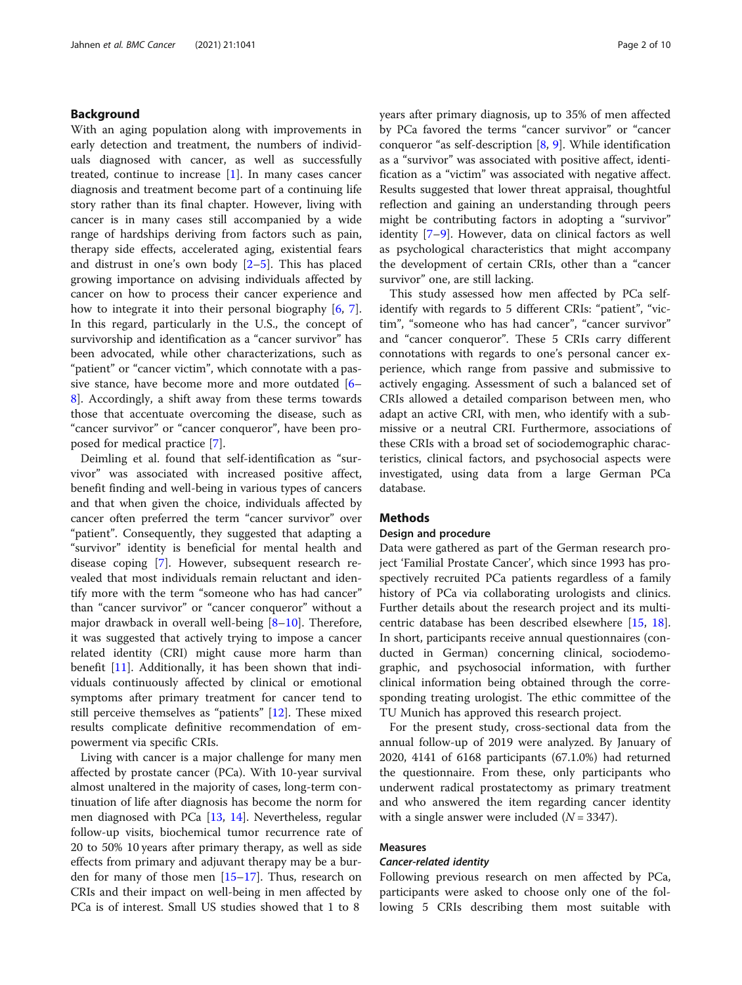# Background

With an aging population along with improvements in early detection and treatment, the numbers of individuals diagnosed with cancer, as well as successfully treated, continue to increase [[1\]](#page-9-0). In many cases cancer diagnosis and treatment become part of a continuing life story rather than its final chapter. However, living with cancer is in many cases still accompanied by a wide range of hardships deriving from factors such as pain, therapy side effects, accelerated aging, existential fears and distrust in one's own body  $[2-5]$  $[2-5]$  $[2-5]$ . This has placed growing importance on advising individuals affected by cancer on how to process their cancer experience and how to integrate it into their personal biography [\[6](#page-9-0), [7](#page-9-0)]. In this regard, particularly in the U.S., the concept of survivorship and identification as a "cancer survivor" has been advocated, while other characterizations, such as "patient" or "cancer victim", which connotate with a passive stance, have become more and more outdated [[6](#page-9-0)– [8\]](#page-9-0). Accordingly, a shift away from these terms towards those that accentuate overcoming the disease, such as "cancer survivor" or "cancer conqueror", have been proposed for medical practice [[7\]](#page-9-0).

Deimling et al. found that self-identification as "survivor" was associated with increased positive affect, benefit finding and well-being in various types of cancers and that when given the choice, individuals affected by cancer often preferred the term "cancer survivor" over "patient". Consequently, they suggested that adapting a "survivor" identity is beneficial for mental health and disease coping [\[7](#page-9-0)]. However, subsequent research revealed that most individuals remain reluctant and identify more with the term "someone who has had cancer" than "cancer survivor" or "cancer conqueror" without a major drawback in overall well-being  $[8-10]$  $[8-10]$  $[8-10]$  $[8-10]$ . Therefore, it was suggested that actively trying to impose a cancer related identity (CRI) might cause more harm than benefit [\[11\]](#page-9-0). Additionally, it has been shown that individuals continuously affected by clinical or emotional symptoms after primary treatment for cancer tend to still perceive themselves as "patients" [\[12](#page-9-0)]. These mixed results complicate definitive recommendation of empowerment via specific CRIs.

Living with cancer is a major challenge for many men affected by prostate cancer (PCa). With 10-year survival almost unaltered in the majority of cases, long-term continuation of life after diagnosis has become the norm for men diagnosed with PCa [[13,](#page-9-0) [14\]](#page-9-0). Nevertheless, regular follow-up visits, biochemical tumor recurrence rate of 20 to 50% 10 years after primary therapy, as well as side effects from primary and adjuvant therapy may be a burden for many of those men [\[15](#page-9-0)–[17\]](#page-9-0). Thus, research on CRIs and their impact on well-being in men affected by PCa is of interest. Small US studies showed that 1 to 8

years after primary diagnosis, up to 35% of men affected by PCa favored the terms "cancer survivor" or "cancer conqueror "as self-description [[8,](#page-9-0) [9\]](#page-9-0). While identification as a "survivor" was associated with positive affect, identification as a "victim" was associated with negative affect. Results suggested that lower threat appraisal, thoughtful reflection and gaining an understanding through peers might be contributing factors in adopting a "survivor" identity [[7](#page-9-0)–[9](#page-9-0)]. However, data on clinical factors as well as psychological characteristics that might accompany the development of certain CRIs, other than a "cancer survivor" one, are still lacking.

This study assessed how men affected by PCa selfidentify with regards to 5 different CRIs: "patient", "victim", "someone who has had cancer", "cancer survivor" and "cancer conqueror". These 5 CRIs carry different connotations with regards to one's personal cancer experience, which range from passive and submissive to actively engaging. Assessment of such a balanced set of CRIs allowed a detailed comparison between men, who adapt an active CRI, with men, who identify with a submissive or a neutral CRI. Furthermore, associations of these CRIs with a broad set of sociodemographic characteristics, clinical factors, and psychosocial aspects were investigated, using data from a large German PCa database.

# Methods

# Design and procedure

Data were gathered as part of the German research project 'Familial Prostate Cancer', which since 1993 has prospectively recruited PCa patients regardless of a family history of PCa via collaborating urologists and clinics. Further details about the research project and its multicentric database has been described elsewhere [\[15](#page-9-0), [18](#page-9-0)]. In short, participants receive annual questionnaires (conducted in German) concerning clinical, sociodemographic, and psychosocial information, with further clinical information being obtained through the corresponding treating urologist. The ethic committee of the TU Munich has approved this research project.

For the present study, cross-sectional data from the annual follow-up of 2019 were analyzed. By January of 2020, 4141 of 6168 participants (67.1.0%) had returned the questionnaire. From these, only participants who underwent radical prostatectomy as primary treatment and who answered the item regarding cancer identity with a single answer were included  $(N = 3347)$ .

# Measures

## Cancer-related identity

Following previous research on men affected by PCa, participants were asked to choose only one of the following 5 CRIs describing them most suitable with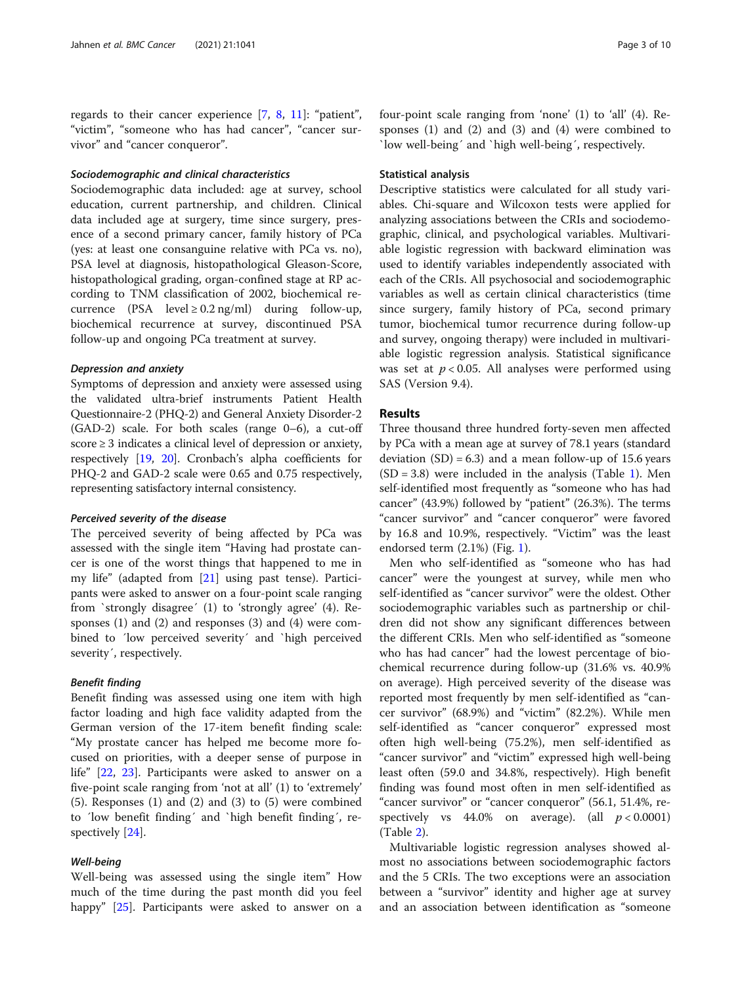regards to their cancer experience [\[7,](#page-9-0) [8,](#page-9-0) [11](#page-9-0)]: "patient", "victim", "someone who has had cancer", "cancer survivor" and "cancer conqueror".

# Sociodemographic and clinical characteristics

Sociodemographic data included: age at survey, school education, current partnership, and children. Clinical data included age at surgery, time since surgery, presence of a second primary cancer, family history of PCa (yes: at least one consanguine relative with PCa vs. no), PSA level at diagnosis, histopathological Gleason-Score, histopathological grading, organ-confined stage at RP according to TNM classification of 2002, biochemical recurrence (PSA level  $\geq$  0.2 ng/ml) during follow-up, biochemical recurrence at survey, discontinued PSA follow-up and ongoing PCa treatment at survey.

#### Depression and anxiety

Symptoms of depression and anxiety were assessed using the validated ultra-brief instruments Patient Health Questionnaire-2 (PHQ-2) and General Anxiety Disorder-2 (GAD-2) scale. For both scales (range 0–6), a cut-off score ≥ 3 indicates a clinical level of depression or anxiety, respectively [\[19,](#page-9-0) [20](#page-9-0)]. Cronbach's alpha coefficients for PHQ-2 and GAD-2 scale were 0.65 and 0.75 respectively, representing satisfactory internal consistency.

#### Perceived severity of the disease

The perceived severity of being affected by PCa was assessed with the single item "Having had prostate cancer is one of the worst things that happened to me in my life" (adapted from [\[21\]](#page-9-0) using past tense). Participants were asked to answer on a four-point scale ranging from `strongly disagree´ (1) to 'strongly agree' (4). Responses (1) and (2) and responses (3) and (4) were combined to ´low perceived severity´ and `high perceived severity´, respectively.

# Benefit finding

Benefit finding was assessed using one item with high factor loading and high face validity adapted from the German version of the 17-item benefit finding scale: "My prostate cancer has helped me become more focused on priorities, with a deeper sense of purpose in life" [[22,](#page-9-0) [23\]](#page-9-0). Participants were asked to answer on a five-point scale ranging from 'not at all' (1) to 'extremely' (5). Responses (1) and (2) and (3) to (5) were combined to ´low benefit finding´ and `high benefit finding´, respectively [\[24\]](#page-9-0).

# Well-being

Well-being was assessed using the single item" How much of the time during the past month did you feel happy" [[25](#page-9-0)]. Participants were asked to answer on a four-point scale ranging from 'none' (1) to 'all' (4). Responses (1) and (2) and (3) and (4) were combined to `low well-being´ and `high well-being´, respectively.

# Statistical analysis

Descriptive statistics were calculated for all study variables. Chi-square and Wilcoxon tests were applied for analyzing associations between the CRIs and sociodemographic, clinical, and psychological variables. Multivariable logistic regression with backward elimination was used to identify variables independently associated with each of the CRIs. All psychosocial and sociodemographic variables as well as certain clinical characteristics (time since surgery, family history of PCa, second primary tumor, biochemical tumor recurrence during follow-up and survey, ongoing therapy) were included in multivariable logistic regression analysis. Statistical significance was set at  $p < 0.05$ . All analyses were performed using SAS (Version 9.4).

# Results

Three thousand three hundred forty-seven men affected by PCa with a mean age at survey of 78.1 years (standard deviation  $(SD) = 6.3$  and a mean follow-up of 15.6 years  $(SD = 3.8)$  were included in the analysis (Table [1](#page-3-0)). Men self-identified most frequently as "someone who has had cancer" (43.9%) followed by "patient" (26.3%). The terms "cancer survivor" and "cancer conqueror" were favored by 16.8 and 10.9%, respectively. "Victim" was the least endorsed term (2.1%) (Fig. [1\)](#page-4-0).

Men who self-identified as "someone who has had cancer" were the youngest at survey, while men who self-identified as "cancer survivor" were the oldest. Other sociodemographic variables such as partnership or children did not show any significant differences between the different CRIs. Men who self-identified as "someone who has had cancer" had the lowest percentage of biochemical recurrence during follow-up (31.6% vs. 40.9% on average). High perceived severity of the disease was reported most frequently by men self-identified as "cancer survivor" (68.9%) and "victim" (82.2%). While men self-identified as "cancer conqueror" expressed most often high well-being (75.2%), men self-identified as "cancer survivor" and "victim" expressed high well-being least often (59.0 and 34.8%, respectively). High benefit finding was found most often in men self-identified as "cancer survivor" or "cancer conqueror" (56.1, 51.4%, respectively vs  $44.0\%$  on average). (all  $p < 0.0001$ ) (Table [2\)](#page-5-0).

Multivariable logistic regression analyses showed almost no associations between sociodemographic factors and the 5 CRIs. The two exceptions were an association between a "survivor" identity and higher age at survey and an association between identification as "someone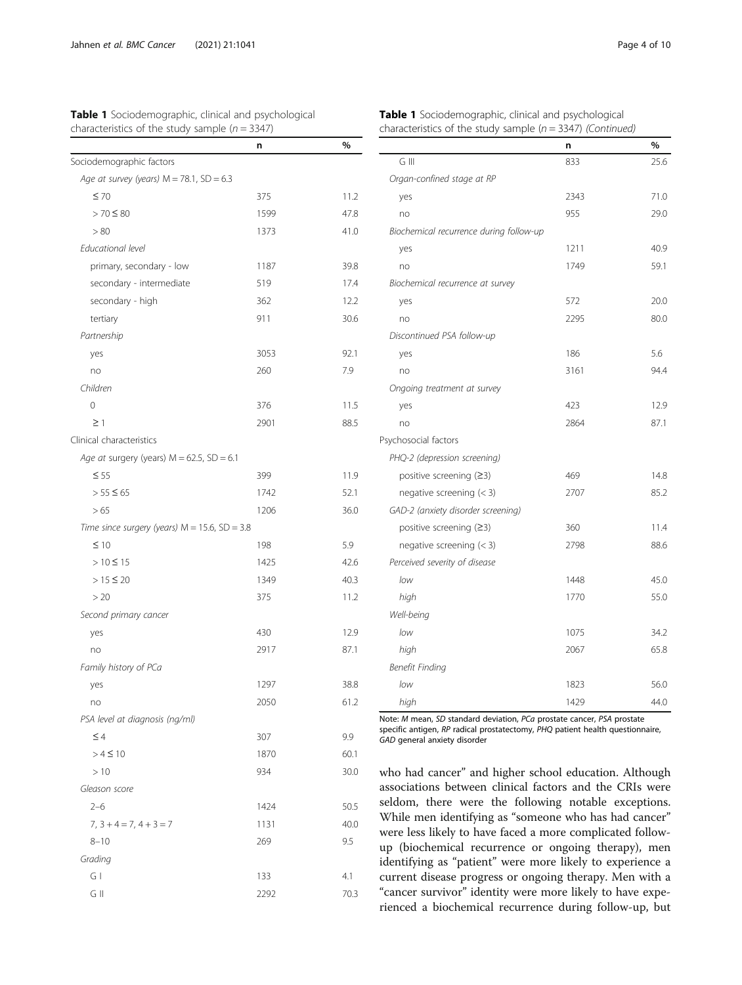Sociodemographic factors

<span id="page-3-0"></span>

| <b>Table 1</b> Sociodemographic, clinical and psychological |  |  |
|-------------------------------------------------------------|--|--|
| characteristics of the study sample ( $n = 3347$ )          |  |  |

|   |                                         | n    | %    |
|---|-----------------------------------------|------|------|
|   | G III                                   | 833  | 25.6 |
|   | Organ-confined stage at RP              |      |      |
|   | yes                                     | 2343 | 71.0 |
| 8 | no                                      | 955  | 29.0 |
| O | Biochemical recurrence during follow-up |      |      |
|   | yes                                     | 1211 | 40.9 |
| 8 | no                                      | 1749 | 59.1 |
| 4 | Biochemical recurrence at survey        |      |      |
| 2 | yes                                     | 572  | 20.0 |
| б | no                                      | 2295 | 80.C |
|   | Discontinued PSA follow-up              |      |      |
| 1 | yes                                     | 186  | 5.6  |
|   | no                                      | 3161 | 94.4 |
|   | Ongoing treatment at survey             |      |      |
|   | yes                                     | 423  | 12.9 |
| 5 | no                                      | 2864 | 87.1 |
|   | Psychosocial factors                    |      |      |
|   | PHQ-2 (depression screening)            |      |      |
| 9 | positive screening $(23)$               | 469  | 14.8 |
| 1 | negative screening $(<$ 3)              | 2707 | 85.2 |
| C | GAD-2 (anxiety disorder screening)      |      |      |
|   | positive screening $(23)$               | 360  | 11.4 |
|   | negative screening $(<$ 3)              | 2798 | 88.6 |

| Sociodemographic, ciinicai and psychological |  |
|----------------------------------------------|--|
| istics of the study sample $(n = 3347)$      |  |

n %

| Well-being                                                             |      |      |
|------------------------------------------------------------------------|------|------|
| low                                                                    | 1075 | 34.2 |
| high                                                                   | 2067 | 65.8 |
| Benefit Finding                                                        |      |      |
| low                                                                    | 1823 | 56.C |
| high                                                                   | 1429 | 44.C |
| Note: M mean, SD standard deviation, PCa prostate cancer, PSA prostate |      |      |

low 1448 45.0 high 1770 55.0

Perceived severity of disease

Note: M mean, SD standard deviation, PCa prostate cancer, PSA prostate specific antigen, RP radical prostatectomy, PHQ patient health questionnaire, GAD general anxiety disorder

who had cancer" and higher school education. Although associations between clinical factors and the CRIs were seldom, there were the following notable exceptions. While men identifying as "someone who has had cancer" were less likely to have faced a more complicated followup (biochemical recurrence or ongoing therapy), men identifying as "patient" were more likely to experience a current disease progress or ongoing therapy. Men with a "cancer survivor" identity were more likely to have experienced a biochemical recurrence during follow-up, but

Age at survey (years)  $M = 78.1$ ,  $SD = 6.3$  $≤ 70$  375 11.2  $> 70 \leq 80$  1599 47.8  $> 80$  41.0 Educational level primary, secondary - low 1187 39. secondary - intermediate 519 519 secondary - high 362 362 tertiary 30.6 Partnership yes 3053 92.1 no 260 7.9 Children 0 376 11.5  $\geq$  1 2901 88.5 Clinical characteristics Age at surgery (years)  $M = 62.5$ ,  $SD = 6.1$  $≤ 55$  399 11.9  $> 55 \le 65$  1742 52.  $> 65$  36.0 Time since surgery (years)  $M = 15.6$ ,  $SD = 3.8$  $\leq 10$  198 5.9  $> 10 \le 15$  42.6  $> 15 \leq 20$  40.3  $> 20$  11.2 Second primary cancer yes 12.9 no 2917 87.1 Family history of PCa yes 1297 38.8 no 2050 61.2 PSA level at diagnosis (ng/ml)  $\leq 4$  9.9  $> 4 \le 10$  1870 60.1  $> 10$  934 30.0 Gleason score 2–6 1424 50.5  $7, 3 + 4 = 7, 4 + 3 = 7$  1131 40.0 8–10 269 9.5 Grading G I 133 4.1

G II 2292 70.3

# Table 1 Sociodemographic, clinical and psychological characteristics of the study sample ( $n = 3347$ ) (Continued)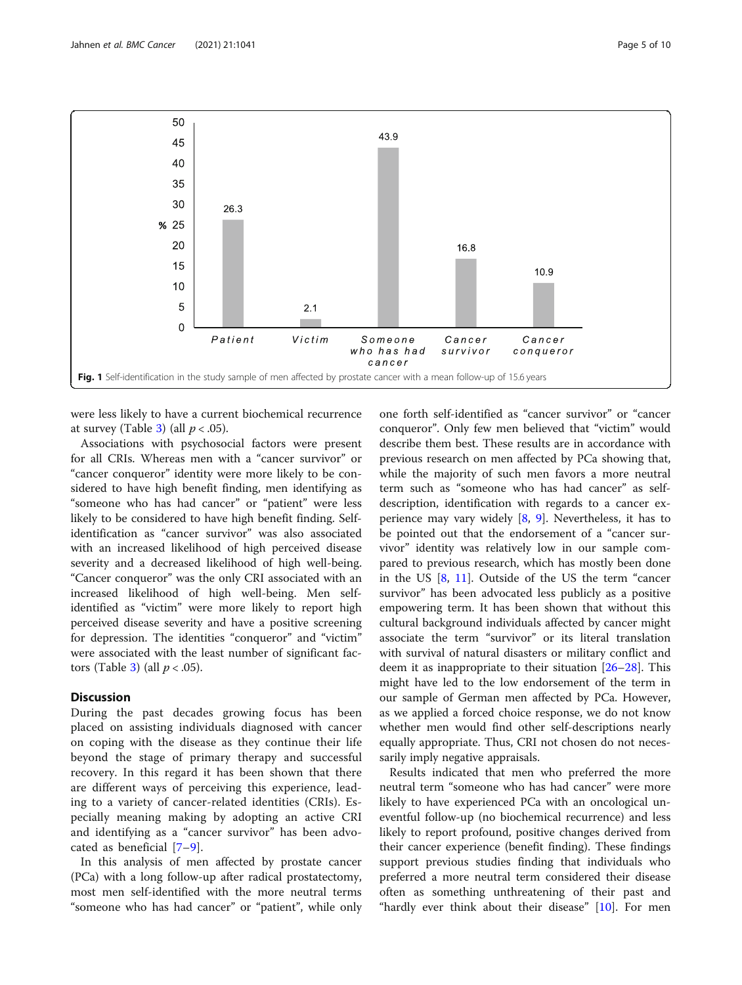<span id="page-4-0"></span>

were less likely to have a current biochemical recurrence at survey (Table [3](#page-7-0)) (all  $p < .05$ ).

Associations with psychosocial factors were present for all CRIs. Whereas men with a "cancer survivor" or "cancer conqueror" identity were more likely to be considered to have high benefit finding, men identifying as "someone who has had cancer" or "patient" were less likely to be considered to have high benefit finding. Selfidentification as "cancer survivor" was also associated with an increased likelihood of high perceived disease severity and a decreased likelihood of high well-being. "Cancer conqueror" was the only CRI associated with an increased likelihood of high well-being. Men selfidentified as "victim" were more likely to report high perceived disease severity and have a positive screening for depression. The identities "conqueror" and "victim" were associated with the least number of significant fac-tors (Table [3](#page-7-0)) (all  $p < .05$ ).

# Discussion

During the past decades growing focus has been placed on assisting individuals diagnosed with cancer on coping with the disease as they continue their life beyond the stage of primary therapy and successful recovery. In this regard it has been shown that there are different ways of perceiving this experience, leading to a variety of cancer-related identities (CRIs). Especially meaning making by adopting an active CRI and identifying as a "cancer survivor" has been advocated as beneficial [[7](#page-9-0)–[9\]](#page-9-0).

In this analysis of men affected by prostate cancer (PCa) with a long follow-up after radical prostatectomy, most men self-identified with the more neutral terms "someone who has had cancer" or "patient", while only

one forth self-identified as "cancer survivor" or "cancer conqueror". Only few men believed that "victim" would describe them best. These results are in accordance with previous research on men affected by PCa showing that, while the majority of such men favors a more neutral term such as "someone who has had cancer" as selfdescription, identification with regards to a cancer experience may vary widely  $[8, 9]$  $[8, 9]$  $[8, 9]$  $[8, 9]$  $[8, 9]$ . Nevertheless, it has to be pointed out that the endorsement of a "cancer survivor" identity was relatively low in our sample compared to previous research, which has mostly been done in the US [[8,](#page-9-0) [11](#page-9-0)]. Outside of the US the term "cancer survivor" has been advocated less publicly as a positive empowering term. It has been shown that without this cultural background individuals affected by cancer might associate the term "survivor" or its literal translation with survival of natural disasters or military conflict and deem it as inappropriate to their situation [\[26](#page-9-0)–[28\]](#page-9-0). This might have led to the low endorsement of the term in our sample of German men affected by PCa. However, as we applied a forced choice response, we do not know whether men would find other self-descriptions nearly equally appropriate. Thus, CRI not chosen do not necessarily imply negative appraisals.

Results indicated that men who preferred the more neutral term "someone who has had cancer" were more likely to have experienced PCa with an oncological uneventful follow-up (no biochemical recurrence) and less likely to report profound, positive changes derived from their cancer experience (benefit finding). These findings support previous studies finding that individuals who preferred a more neutral term considered their disease often as something unthreatening of their past and "hardly ever think about their disease" [\[10\]](#page-9-0). For men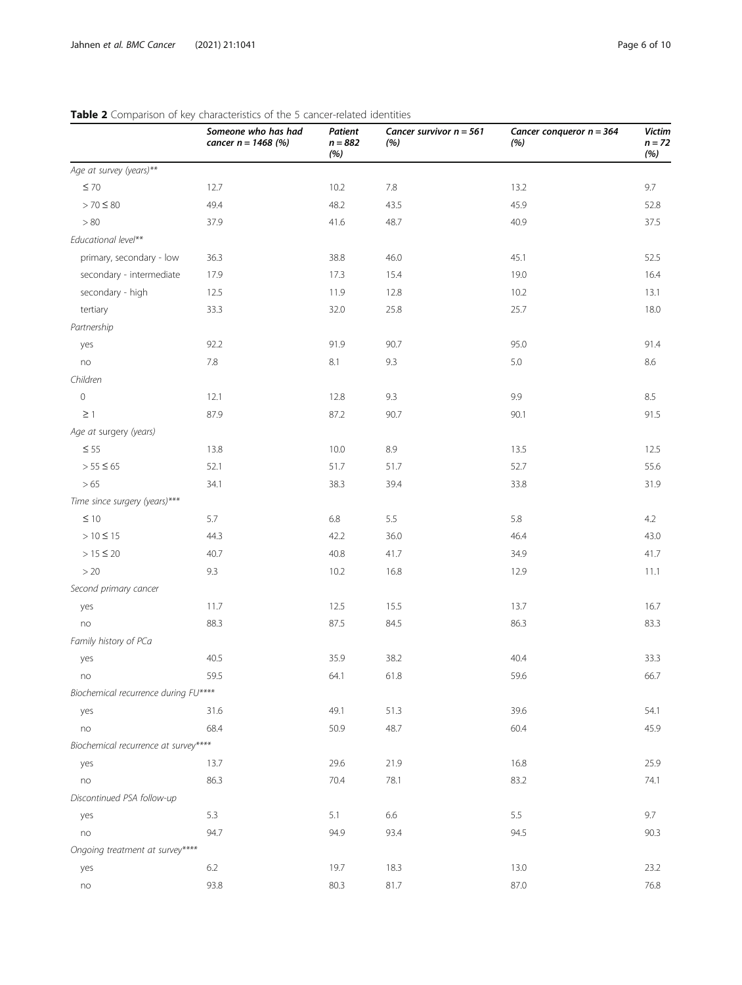|                                      | <b>Table 2</b> Companson of Rey characteristics of the 5 cancel-related fuentities<br>Someone who has had<br>cancer $n = 1468$ (%) | Patient<br>$n = 882$<br>(%) | Cancer survivor $n = 561$<br>(%) | Cancer conqueror $n = 364$<br>(%) | <b>Victim</b><br>$n = 72$<br>(%) |
|--------------------------------------|------------------------------------------------------------------------------------------------------------------------------------|-----------------------------|----------------------------------|-----------------------------------|----------------------------------|
| Age at survey (years)**              |                                                                                                                                    |                             |                                  |                                   |                                  |
| $\leq 70$                            | 12.7                                                                                                                               | 10.2                        | 7.8                              | 13.2                              | 9.7                              |
| $> 70 \le 80$                        | 49.4                                                                                                                               | 48.2                        | 43.5                             | 45.9                              | 52.8                             |
| $>80$                                | 37.9                                                                                                                               | 41.6                        | 48.7                             | 40.9                              | 37.5                             |
| Educational level**                  |                                                                                                                                    |                             |                                  |                                   |                                  |
| primary, secondary - low             | 36.3                                                                                                                               | 38.8                        | 46.0                             | 45.1                              | 52.5                             |
| secondary - intermediate             | 17.9                                                                                                                               | 17.3                        | 15.4                             | 19.0                              | 16.4                             |
| secondary - high                     | 12.5                                                                                                                               | 11.9                        | 12.8                             | 10.2                              | 13.1                             |
| tertiary                             | 33.3                                                                                                                               | 32.0                        | 25.8                             | 25.7                              | 18.0                             |
| Partnership                          |                                                                                                                                    |                             |                                  |                                   |                                  |
| yes                                  | 92.2                                                                                                                               | 91.9                        | 90.7                             | 95.0                              | 91.4                             |
| no                                   | $7.8\,$                                                                                                                            | 8.1                         | 9.3                              | 5.0                               | 8.6                              |
| Children                             |                                                                                                                                    |                             |                                  |                                   |                                  |
| $\circ$                              | 12.1                                                                                                                               | 12.8                        | 9.3                              | 9.9                               | 8.5                              |
| $\geq$ 1                             | 87.9                                                                                                                               | 87.2                        | 90.7                             | 90.1                              | 91.5                             |
| Age at surgery (years)               |                                                                                                                                    |                             |                                  |                                   |                                  |
| $\leq$ 55                            | 13.8                                                                                                                               | 10.0                        | 8.9                              | 13.5                              | 12.5                             |
| $> 55 \le 65$                        | 52.1                                                                                                                               | 51.7                        | 51.7                             | 52.7                              | 55.6                             |
| > 65                                 | 34.1                                                                                                                               | 38.3                        | 39.4                             | 33.8                              | 31.9                             |
| Time since surgery (years)***        |                                                                                                                                    |                             |                                  |                                   |                                  |
| $\leq 10$                            | 5.7                                                                                                                                | $6.8\,$                     | 5.5                              | 5.8                               | 4.2                              |
| $> 10 \le 15$                        | 44.3                                                                                                                               | 42.2                        | 36.0                             | 46.4                              | 43.0                             |
| $> 15 \le 20$                        | 40.7                                                                                                                               | 40.8                        | 41.7                             | 34.9                              | 41.7                             |
| >20                                  | 9.3                                                                                                                                | 10.2                        | 16.8                             | 12.9                              | 11.1                             |
| Second primary cancer                |                                                                                                                                    |                             |                                  |                                   |                                  |
| yes                                  | 11.7                                                                                                                               | 12.5                        | 15.5                             | 13.7                              | 16.7                             |
| no                                   | 88.3                                                                                                                               | 87.5                        | 84.5                             | 86.3                              | 83.3                             |
| Family history of PCa                |                                                                                                                                    |                             |                                  |                                   |                                  |
| yes                                  | 40.5                                                                                                                               | 35.9                        | 38.2                             | 40.4                              | 33.3                             |
| no                                   | 59.5                                                                                                                               | 64.1                        | 61.8                             | 59.6                              | 66.7                             |
| Biochemical recurrence during FU**** |                                                                                                                                    |                             |                                  |                                   |                                  |
| yes                                  | 31.6                                                                                                                               | 49.1                        | 51.3                             | 39.6                              | 54.1                             |
| no                                   | 68.4                                                                                                                               | 50.9                        | 48.7                             | 60.4                              | 45.9                             |
| Biochemical recurrence at survey**** |                                                                                                                                    |                             |                                  |                                   |                                  |
| yes                                  | 13.7                                                                                                                               | 29.6                        | 21.9                             | 16.8                              | 25.9                             |
| no                                   | 86.3                                                                                                                               | 70.4                        | 78.1                             | 83.2                              | 74.1                             |
| Discontinued PSA follow-up           |                                                                                                                                    |                             |                                  |                                   |                                  |
| yes                                  | 5.3                                                                                                                                | 5.1                         | 6.6                              | 5.5                               | 9.7                              |
| no                                   | 94.7                                                                                                                               | 94.9                        | 93.4                             | 94.5                              | 90.3                             |
| Ongoing treatment at survey****      |                                                                                                                                    |                             |                                  |                                   |                                  |
| yes                                  | 6.2                                                                                                                                | 19.7                        | 18.3                             | 13.0                              | 23.2                             |
| $\mathop{\textsf{no}}$               | 93.8                                                                                                                               | 80.3                        | 81.7                             | 87.0                              | 76.8                             |

# <span id="page-5-0"></span>Table 2 Comparison of key characteristics of the 5 cancer-related identities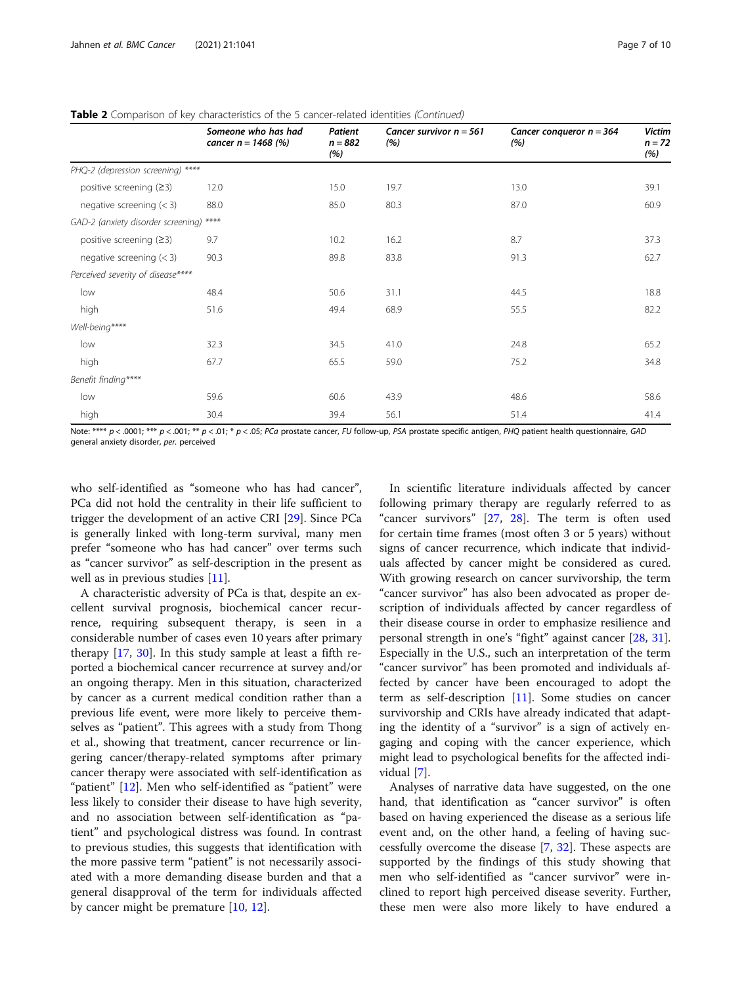|                                         | Someone who has had<br>cancer $n = 1468$ (%) | <b>Patient</b><br>$n = 882$<br>(%) | Cancer survivor $n = 561$<br>(% ) | Cancer conqueror $n = 364$<br>(% ) | <b>Victim</b><br>$n = 72$<br>(%) |
|-----------------------------------------|----------------------------------------------|------------------------------------|-----------------------------------|------------------------------------|----------------------------------|
| PHQ-2 (depression screening) ****       |                                              |                                    |                                   |                                    |                                  |
| positive screening $(23)$               | 12.0                                         | 15.0                               | 19.7                              | 13.0                               | 39.1                             |
| negative screening $(< 3)$              | 88.0                                         | 85.0                               | 80.3                              | 87.0                               | 60.9                             |
| GAD-2 (anxiety disorder screening) **** |                                              |                                    |                                   |                                    |                                  |
| positive screening $(23)$               | 9.7                                          | 10.2                               | 16.2                              | 8.7                                | 37.3                             |
| negative screening $(< 3)$              | 90.3                                         | 89.8                               | 83.8                              | 91.3                               | 62.7                             |
| Perceived severity of disease****       |                                              |                                    |                                   |                                    |                                  |
| low                                     | 48.4                                         | 50.6                               | 31.1                              | 44.5                               | 18.8                             |
| high                                    | 51.6                                         | 49.4                               | 68.9                              | 55.5                               | 82.2                             |
| Well-being****                          |                                              |                                    |                                   |                                    |                                  |
| low                                     | 32.3                                         | 34.5                               | 41.0                              | 24.8                               | 65.2                             |
| high                                    | 67.7                                         | 65.5                               | 59.0                              | 75.2                               | 34.8                             |
| Benefit finding****                     |                                              |                                    |                                   |                                    |                                  |
| low                                     | 59.6                                         | 60.6                               | 43.9                              | 48.6                               | 58.6                             |
| high                                    | 30.4                                         | 39.4                               | 56.1                              | 51.4                               | 41.4                             |

Table 2 Comparison of key characteristics of the 5 cancer-related identities (Continued)

Note: \*\*\*\*  $p$  < .0001; \*\*\*  $p$  < .001; \*\*  $p$  < .01; \*  $p$  < .05; PCa prostate cancer, FU follow-up, PSA prostate specific antigen, PHQ patient health questionnaire, GAD general anxiety disorder, per. perceived

who self-identified as "someone who has had cancer", PCa did not hold the centrality in their life sufficient to trigger the development of an active CRI [[29\]](#page-9-0). Since PCa is generally linked with long-term survival, many men prefer "someone who has had cancer" over terms such as "cancer survivor" as self-description in the present as well as in previous studies [[11\]](#page-9-0).

A characteristic adversity of PCa is that, despite an excellent survival prognosis, biochemical cancer recurrence, requiring subsequent therapy, is seen in a considerable number of cases even 10 years after primary therapy [\[17,](#page-9-0) [30\]](#page-9-0). In this study sample at least a fifth reported a biochemical cancer recurrence at survey and/or an ongoing therapy. Men in this situation, characterized by cancer as a current medical condition rather than a previous life event, were more likely to perceive themselves as "patient". This agrees with a study from Thong et al., showing that treatment, cancer recurrence or lingering cancer/therapy-related symptoms after primary cancer therapy were associated with self-identification as "patient" [[12\]](#page-9-0). Men who self-identified as "patient" were less likely to consider their disease to have high severity, and no association between self-identification as "patient" and psychological distress was found. In contrast to previous studies, this suggests that identification with the more passive term "patient" is not necessarily associated with a more demanding disease burden and that a general disapproval of the term for individuals affected by cancer might be premature [[10](#page-9-0), [12](#page-9-0)].

In scientific literature individuals affected by cancer following primary therapy are regularly referred to as "cancer survivors" [\[27](#page-9-0), [28\]](#page-9-0). The term is often used for certain time frames (most often 3 or 5 years) without signs of cancer recurrence, which indicate that individuals affected by cancer might be considered as cured. With growing research on cancer survivorship, the term "cancer survivor" has also been advocated as proper description of individuals affected by cancer regardless of their disease course in order to emphasize resilience and personal strength in one's "fight" against cancer [\[28](#page-9-0), [31](#page-9-0)]. Especially in the U.S., such an interpretation of the term "cancer survivor" has been promoted and individuals affected by cancer have been encouraged to adopt the term as self-description [\[11\]](#page-9-0). Some studies on cancer survivorship and CRIs have already indicated that adapting the identity of a "survivor" is a sign of actively engaging and coping with the cancer experience, which might lead to psychological benefits for the affected individual [\[7](#page-9-0)].

Analyses of narrative data have suggested, on the one hand, that identification as "cancer survivor" is often based on having experienced the disease as a serious life event and, on the other hand, a feeling of having successfully overcome the disease [[7,](#page-9-0) [32](#page-9-0)]. These aspects are supported by the findings of this study showing that men who self-identified as "cancer survivor" were inclined to report high perceived disease severity. Further, these men were also more likely to have endured a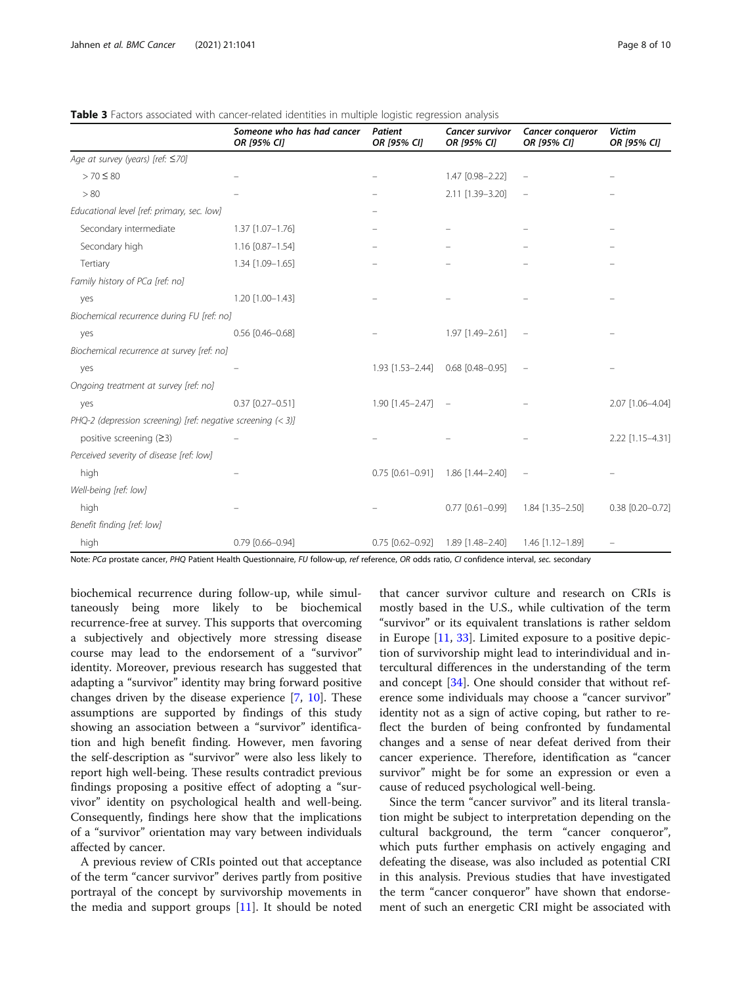|                                                              | Someone who has had cancer<br>OR [95% CI] | Patient<br>OR [95% CI] | <b>Cancer survivor</b><br>OR [95% CI] | Cancer conqueror<br>OR [95% CI] | <b>Victim</b><br>OR [95% CI] |
|--------------------------------------------------------------|-------------------------------------------|------------------------|---------------------------------------|---------------------------------|------------------------------|
| Age at survey (years) [ref: ≤70]                             |                                           |                        |                                       |                                 |                              |
| $> 70 \le 80$                                                |                                           |                        | 1.47 [0.98-2.22]                      |                                 |                              |
| > 80                                                         |                                           |                        | 2.11 [1.39-3.20]                      |                                 |                              |
| Educational level [ref: primary, sec. low]                   |                                           |                        |                                       |                                 |                              |
| Secondary intermediate                                       | 1.37 [1.07-1.76]                          |                        |                                       |                                 |                              |
| Secondary high                                               | 1.16 [0.87-1.54]                          |                        |                                       |                                 |                              |
| Tertiary                                                     | 1.34 [1.09-1.65]                          |                        |                                       |                                 |                              |
| Family history of PCa [ref: no]                              |                                           |                        |                                       |                                 |                              |
| yes                                                          | 1.20 [1.00-1.43]                          |                        |                                       |                                 |                              |
| Biochemical recurrence during FU [ref: no]                   |                                           |                        |                                       |                                 |                              |
| yes                                                          | $0.56$ [0.46-0.68]                        |                        | 1.97 [1.49-2.61]                      |                                 |                              |
| Biochemical recurrence at survey [ref: no]                   |                                           |                        |                                       |                                 |                              |
| yes                                                          |                                           | 1.93 [1.53-2.44]       | $0.68$ $[0.48 - 0.95]$                |                                 |                              |
| Ongoing treatment at survey [ref: no]                        |                                           |                        |                                       |                                 |                              |
| yes                                                          | $0.37$ $[0.27 - 0.51]$                    | 1.90 [1.45-2.47]       | $\sim$                                |                                 | 2.07 [1.06-4.04]             |
| PHQ-2 (depression screening) [ref: negative screening (< 3)] |                                           |                        |                                       |                                 |                              |
| positive screening $(≥3)$                                    |                                           |                        |                                       |                                 | 2.22 [1.15-4.31]             |
| Perceived severity of disease [ref: low]                     |                                           |                        |                                       |                                 |                              |
| high                                                         |                                           | $0.75$ $[0.61 - 0.91]$ | 1.86 [1.44-2.40]                      |                                 |                              |
| Well-being [ref: low]                                        |                                           |                        |                                       |                                 |                              |
| high                                                         |                                           |                        | $0.77$ $[0.61 - 0.99]$                | 1.84 [1.35-2.50]                | 0.38 [0.20-0.72]             |
| Benefit finding [ref: low]                                   |                                           |                        |                                       |                                 |                              |
| high                                                         | $0.79$ $[0.66 - 0.94]$                    | $0.75$ [0.62-0.92]     | 1.89 [1.48-2.40]                      | 1.46 [1.12-1.89]                |                              |

<span id="page-7-0"></span>**Table 3** Factors associated with cancer-related identities in multiple logistic regression analysis

Note: PCa prostate cancer, PHQ Patient Health Questionnaire, FU follow-up, ref reference, OR odds ratio, CI confidence interval, sec. secondary

biochemical recurrence during follow-up, while simultaneously being more likely to be biochemical recurrence-free at survey. This supports that overcoming a subjectively and objectively more stressing disease course may lead to the endorsement of a "survivor" identity. Moreover, previous research has suggested that adapting a "survivor" identity may bring forward positive changes driven by the disease experience [\[7,](#page-9-0) [10\]](#page-9-0). These assumptions are supported by findings of this study showing an association between a "survivor" identification and high benefit finding. However, men favoring the self-description as "survivor" were also less likely to report high well-being. These results contradict previous findings proposing a positive effect of adopting a "survivor" identity on psychological health and well-being. Consequently, findings here show that the implications of a "survivor" orientation may vary between individuals affected by cancer.

A previous review of CRIs pointed out that acceptance of the term "cancer survivor" derives partly from positive portrayal of the concept by survivorship movements in the media and support groups  $[11]$  $[11]$ . It should be noted that cancer survivor culture and research on CRIs is mostly based in the U.S., while cultivation of the term "survivor" or its equivalent translations is rather seldom in Europe [\[11](#page-9-0), [33](#page-9-0)]. Limited exposure to a positive depiction of survivorship might lead to interindividual and intercultural differences in the understanding of the term and concept [[34\]](#page-9-0). One should consider that without reference some individuals may choose a "cancer survivor" identity not as a sign of active coping, but rather to reflect the burden of being confronted by fundamental changes and a sense of near defeat derived from their cancer experience. Therefore, identification as "cancer survivor" might be for some an expression or even a cause of reduced psychological well-being.

Since the term "cancer survivor" and its literal translation might be subject to interpretation depending on the cultural background, the term "cancer conqueror", which puts further emphasis on actively engaging and defeating the disease, was also included as potential CRI in this analysis. Previous studies that have investigated the term "cancer conqueror" have shown that endorsement of such an energetic CRI might be associated with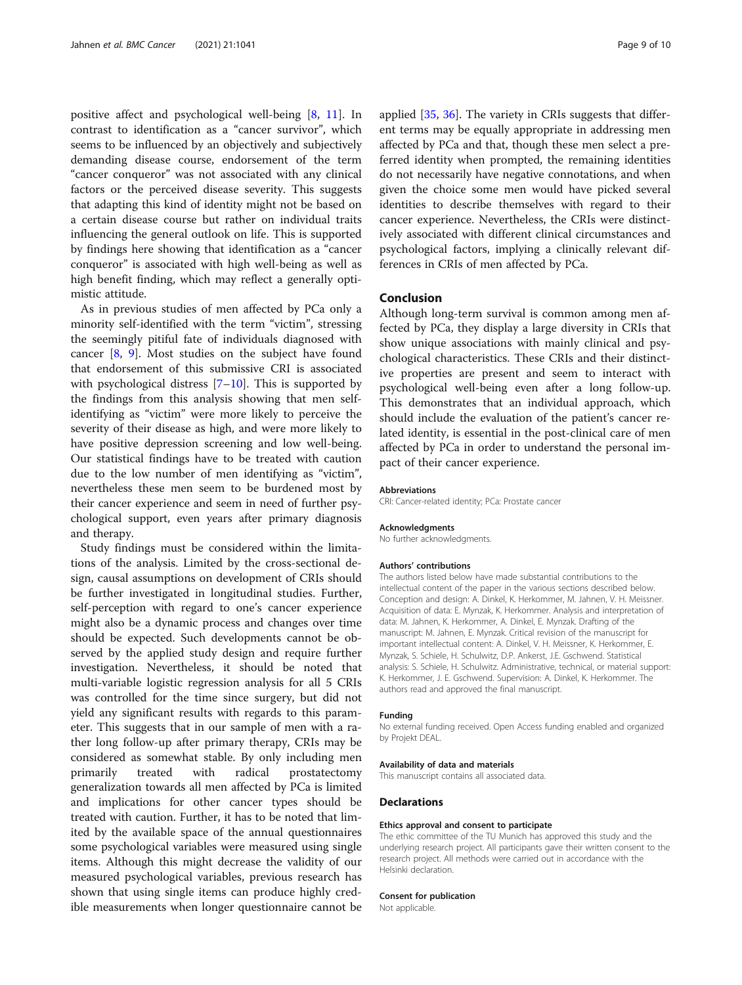positive affect and psychological well-being [[8,](#page-9-0) [11\]](#page-9-0). In contrast to identification as a "cancer survivor", which seems to be influenced by an objectively and subjectively demanding disease course, endorsement of the term "cancer conqueror" was not associated with any clinical factors or the perceived disease severity. This suggests that adapting this kind of identity might not be based on a certain disease course but rather on individual traits influencing the general outlook on life. This is supported by findings here showing that identification as a "cancer conqueror" is associated with high well-being as well as high benefit finding, which may reflect a generally optimistic attitude.

As in previous studies of men affected by PCa only a minority self-identified with the term "victim", stressing the seemingly pitiful fate of individuals diagnosed with cancer [\[8](#page-9-0), [9](#page-9-0)]. Most studies on the subject have found that endorsement of this submissive CRI is associated with psychological distress  $[7-10]$  $[7-10]$  $[7-10]$ . This is supported by the findings from this analysis showing that men selfidentifying as "victim" were more likely to perceive the severity of their disease as high, and were more likely to have positive depression screening and low well-being. Our statistical findings have to be treated with caution due to the low number of men identifying as "victim", nevertheless these men seem to be burdened most by their cancer experience and seem in need of further psychological support, even years after primary diagnosis and therapy.

Study findings must be considered within the limitations of the analysis. Limited by the cross-sectional design, causal assumptions on development of CRIs should be further investigated in longitudinal studies. Further, self-perception with regard to one's cancer experience might also be a dynamic process and changes over time should be expected. Such developments cannot be observed by the applied study design and require further investigation. Nevertheless, it should be noted that multi-variable logistic regression analysis for all 5 CRIs was controlled for the time since surgery, but did not yield any significant results with regards to this parameter. This suggests that in our sample of men with a rather long follow-up after primary therapy, CRIs may be considered as somewhat stable. By only including men primarily treated with radical prostatectomy generalization towards all men affected by PCa is limited and implications for other cancer types should be treated with caution. Further, it has to be noted that limited by the available space of the annual questionnaires some psychological variables were measured using single items. Although this might decrease the validity of our measured psychological variables, previous research has shown that using single items can produce highly credible measurements when longer questionnaire cannot be

applied [[35](#page-9-0), [36](#page-9-0)]. The variety in CRIs suggests that different terms may be equally appropriate in addressing men affected by PCa and that, though these men select a preferred identity when prompted, the remaining identities do not necessarily have negative connotations, and when given the choice some men would have picked several identities to describe themselves with regard to their cancer experience. Nevertheless, the CRIs were distinctively associated with different clinical circumstances and psychological factors, implying a clinically relevant differences in CRIs of men affected by PCa.

# Conclusion

Although long-term survival is common among men affected by PCa, they display a large diversity in CRIs that show unique associations with mainly clinical and psychological characteristics. These CRIs and their distinctive properties are present and seem to interact with psychological well-being even after a long follow-up. This demonstrates that an individual approach, which should include the evaluation of the patient's cancer related identity, is essential in the post-clinical care of men affected by PCa in order to understand the personal impact of their cancer experience.

#### Abbreviations

CRI: Cancer-related identity; PCa: Prostate cancer

#### Acknowledgments

No further acknowledgments.

#### Authors' contributions

The authors listed below have made substantial contributions to the intellectual content of the paper in the various sections described below. Conception and design: A. Dinkel, K. Herkommer, M. Jahnen, V. H. Meissner. Acquisition of data: E. Mynzak, K. Herkommer. Analysis and interpretation of data: M. Jahnen, K. Herkommer, A. Dinkel, E. Mynzak. Drafting of the manuscript: M. Jahnen, E. Mynzak. Critical revision of the manuscript for important intellectual content: A. Dinkel, V. H. Meissner, K. Herkommer, E. Mynzak, S. Schiele, H. Schulwitz, D.P. Ankerst, J.E. Gschwend. Statistical analysis: S. Schiele, H. Schulwitz. Administrative, technical, or material support: K. Herkommer, J. E. Gschwend. Supervision: A. Dinkel, K. Herkommer. The authors read and approved the final manuscript.

#### Funding

No external funding received. Open Access funding enabled and organized by Projekt DEAL.

#### Availability of data and materials

This manuscript contains all associated data.

### **Declarations**

#### Ethics approval and consent to participate

The ethic committee of the TU Munich has approved this study and the underlying research project. All participants gave their written consent to the research project. All methods were carried out in accordance with the Helsinki declaration.

### Consent for publication

Not applicable.